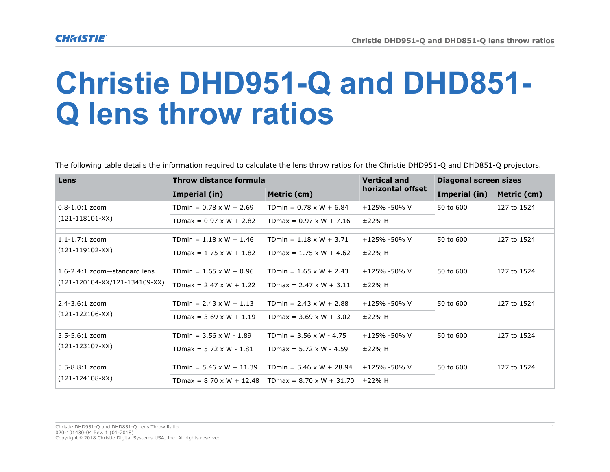## **Christie DHD951-Q and DHD851- Q lens throw ratios**

The following table details the information required to calculate the lens throw ratios for the Christie DHD951-Q and DHD851-Q projectors.

| Lens                                                            | Throw distance formula          |                                 | <b>Vertical and</b> | <b>Diagonal screen sizes</b> |             |
|-----------------------------------------------------------------|---------------------------------|---------------------------------|---------------------|------------------------------|-------------|
|                                                                 | Imperial (in)                   | Metric (cm)                     | horizontal offset   | Imperial (in)                | Metric (cm) |
| $0.8 - 1.0:1$ zoom<br>$(121-118101-XX)$                         | TDmin = $0.78 \times W + 2.69$  | TDmin = $0.78 \times W + 6.84$  | $+125% -50% V$      | 50 to 600                    | 127 to 1524 |
|                                                                 | TDmax = $0.97 \times W + 2.82$  | TDmax = $0.97 \times W + 7.16$  | ±22% H              |                              |             |
| $1.1 - 1.7:1$ zoom<br>$(121-119102-XX)$                         | TDmin = $1.18 \times W + 1.46$  | TDmin = $1.18 \times W + 3.71$  | $+125% -50% V$      | 50 to 600                    | 127 to 1524 |
|                                                                 | TDmax = $1.75 \times W + 1.82$  | TDmax = $1.75 \times W + 4.62$  | ±22% H              |                              |             |
| 1.6-2.4:1 zoom-standard lens<br>$(121-120104-XX/121-134109-XX)$ | TDmin = $1.65 \times W + 0.96$  | TDmin = $1.65 \times W + 2.43$  | $+125% -50% V$      | 50 to 600                    | 127 to 1524 |
|                                                                 | TDmax = $2.47 \times W + 1.22$  | TDmax = $2.47 \times W + 3.11$  | ±22% H              |                              |             |
| $2.4 - 3.6:1$ zoom<br>$(121 - 122106 - XX)$                     | TDmin = $2.43 \times W + 1.13$  | TDmin = $2.43 \times W + 2.88$  | $+125% -50% V$      | 50 to 600                    | 127 to 1524 |
|                                                                 | TDmax = $3.69 \times W + 1.19$  | TDmax = $3.69 \times W + 3.02$  | ±22% H              |                              |             |
| $3.5 - 5.6:1$ zoom<br>$(121 - 123107 - XX)$                     | TDmin = $3.56 \times W - 1.89$  | TDmin = $3.56 \times W - 4.75$  | $+125% -50% V$      | 50 to 600                    | 127 to 1524 |
|                                                                 | TDmax = $5.72 \times W - 1.81$  | TDmax = $5.72 \times W - 4.59$  | ±22% H              |                              |             |
| $5.5 - 8.8:1$ zoom<br>$(121 - 124108 - XX)$                     | TDmin = $5.46 \times W + 11.39$ | TDmin = $5.46 \times W + 28.94$ | +125% -50% V        | 50 to 600                    | 127 to 1524 |
|                                                                 | TDmax = $8.70 \times W + 12.48$ | $TDmax = 8.70 \times W + 31.70$ | ±22% H              |                              |             |